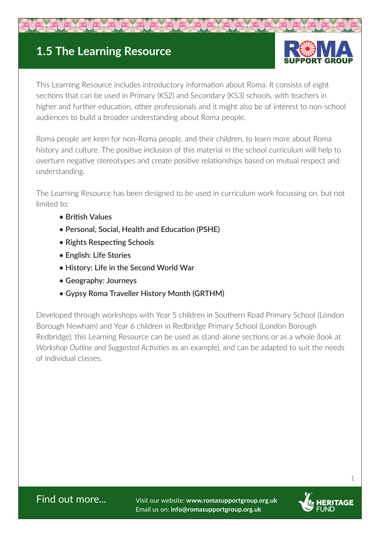## **1.5 The Learning Resource**



This Learning Resource includes introductory information about Roma. It consists of eight sections that can be used in Primary (KS2) and Secondary (KS3) schools, with teachers in higher and further education, other professionals and it might also be of interest to non-school audiences to build a broader understanding about Roma people.

Roma people are keen for non-Roma people, and their children, to learn more about Roma history and culture. The positive inclusion of this material in the school curriculum will help to overturn negative stereotypes and create positive relationships based on mutual respect and understanding.

The Learning Resource has been designed to be used in curriculum work focussing on, but not limited to:

- **British Values**
- **Personal, Social, Health and Education (PSHE)**
- **Rights Respecting Schools**
- **English: Life Stories**
- **History: Life in the Second World War**
- **Geography: Journeys**
- **Gypsy Roma Traveller History Month (GRTHM)**

Developed through workshops with Year 5 children in Southern Road Primary School (London Borough Newham) and Year 6 children in Redbridge Primary School (London Borough Redbridge), this Learning Resource can be used as stand-alone sections or as a whole (look at *Workshop Outline and Suggested Activities* as an example), and can be adapted to suit the needs of individual classes.

Find out more... Visit our website: **www.romasupportgroup.org.uk** Email us on: **info@romasupportgroup.org.uk**